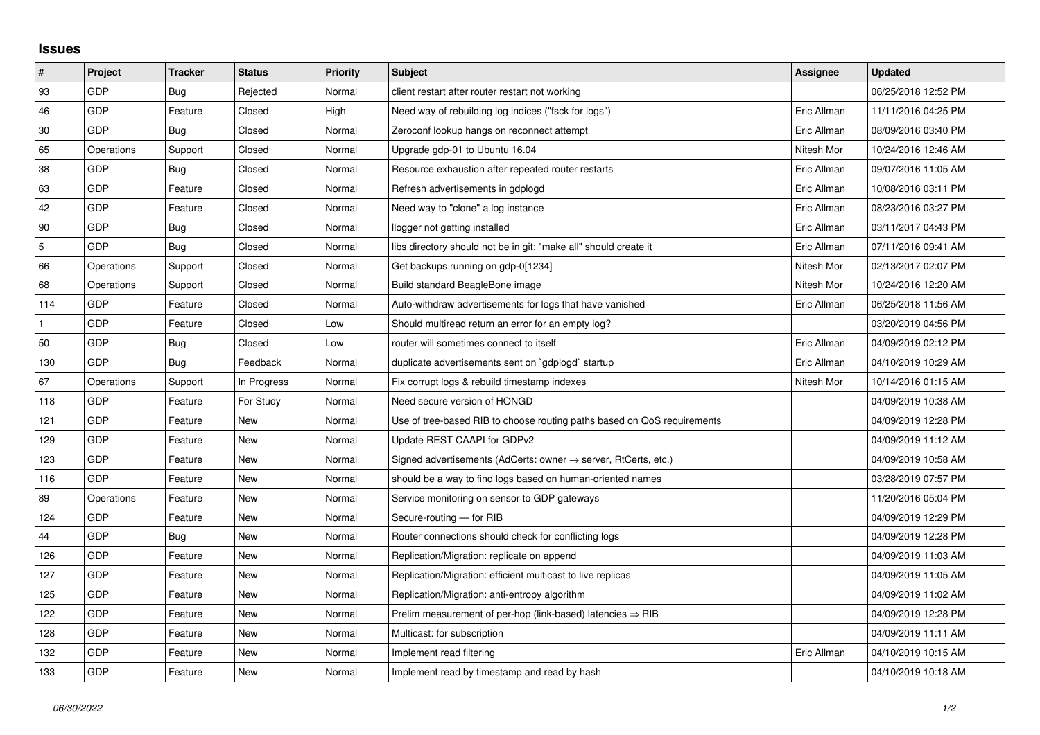## **Issues**

| $\vert$ #      | Project    | <b>Tracker</b> | <b>Status</b> | <b>Priority</b> | <b>Subject</b>                                                             | Assignee    | <b>Updated</b>      |
|----------------|------------|----------------|---------------|-----------------|----------------------------------------------------------------------------|-------------|---------------------|
| 93             | GDP        | Bug            | Rejected      | Normal          | client restart after router restart not working                            |             | 06/25/2018 12:52 PM |
| 46             | GDP        | Feature        | Closed        | High            | Need way of rebuilding log indices ("fsck for logs")                       | Eric Allman | 11/11/2016 04:25 PM |
| 30             | <b>GDP</b> | Bug            | Closed        | Normal          | Zeroconf lookup hangs on reconnect attempt                                 | Eric Allman | 08/09/2016 03:40 PM |
| 65             | Operations | Support        | Closed        | Normal          | Upgrade gdp-01 to Ubuntu 16.04                                             | Nitesh Mor  | 10/24/2016 12:46 AM |
| 38             | GDP        | Bug            | Closed        | Normal          | Resource exhaustion after repeated router restarts                         | Eric Allman | 09/07/2016 11:05 AM |
| 63             | GDP        | Feature        | Closed        | Normal          | Refresh advertisements in gdplogd                                          | Eric Allman | 10/08/2016 03:11 PM |
| 42             | GDP        | Feature        | Closed        | Normal          | Need way to "clone" a log instance                                         | Eric Allman | 08/23/2016 03:27 PM |
| 90             | GDP        | Bug            | Closed        | Normal          | llogger not getting installed                                              | Eric Allman | 03/11/2017 04:43 PM |
| $\overline{5}$ | GDP        | Bug            | Closed        | Normal          | libs directory should not be in git; "make all" should create it           | Eric Allman | 07/11/2016 09:41 AM |
| 66             | Operations | Support        | Closed        | Normal          | Get backups running on gdp-0[1234]                                         | Nitesh Mor  | 02/13/2017 02:07 PM |
| 68             | Operations | Support        | Closed        | Normal          | Build standard BeagleBone image                                            | Nitesh Mor  | 10/24/2016 12:20 AM |
| 114            | <b>GDP</b> | Feature        | Closed        | Normal          | Auto-withdraw advertisements for logs that have vanished                   | Eric Allman | 06/25/2018 11:56 AM |
|                | GDP        | Feature        | Closed        | Low             | Should multiread return an error for an empty log?                         |             | 03/20/2019 04:56 PM |
| 50             | GDP        | Bug            | Closed        | Low             | router will sometimes connect to itself                                    | Eric Allman | 04/09/2019 02:12 PM |
| 130            | GDP        | Bug            | Feedback      | Normal          | duplicate advertisements sent on `gdplogd` startup                         | Eric Allman | 04/10/2019 10:29 AM |
| 67             | Operations | Support        | In Progress   | Normal          | Fix corrupt logs & rebuild timestamp indexes                               | Nitesh Mor  | 10/14/2016 01:15 AM |
| 118            | GDP        | Feature        | For Study     | Normal          | Need secure version of HONGD                                               |             | 04/09/2019 10:38 AM |
| 121            | GDP        | Feature        | New           | Normal          | Use of tree-based RIB to choose routing paths based on QoS requirements    |             | 04/09/2019 12:28 PM |
| 129            | GDP        | Feature        | New           | Normal          | Update REST CAAPI for GDPv2                                                |             | 04/09/2019 11:12 AM |
| 123            | GDP        | Feature        | New           | Normal          | Signed advertisements (AdCerts: owner $\rightarrow$ server, RtCerts, etc.) |             | 04/09/2019 10:58 AM |
| 116            | GDP        | Feature        | New           | Normal          | should be a way to find logs based on human-oriented names                 |             | 03/28/2019 07:57 PM |
| 89             | Operations | Feature        | New           | Normal          | Service monitoring on sensor to GDP gateways                               |             | 11/20/2016 05:04 PM |
| 124            | GDP        | Feature        | New           | Normal          | Secure-routing - for RIB                                                   |             | 04/09/2019 12:29 PM |
| 44             | GDP        | Bug            | New           | Normal          | Router connections should check for conflicting logs                       |             | 04/09/2019 12:28 PM |
| 126            | GDP        | Feature        | New           | Normal          | Replication/Migration: replicate on append                                 |             | 04/09/2019 11:03 AM |
| 127            | GDP        | Feature        | New           | Normal          | Replication/Migration: efficient multicast to live replicas                |             | 04/09/2019 11:05 AM |
| 125            | GDP        | Feature        | New           | Normal          | Replication/Migration: anti-entropy algorithm                              |             | 04/09/2019 11:02 AM |
| 122            | GDP        | Feature        | New           | Normal          | Prelim measurement of per-hop (link-based) latencies $\Rightarrow$ RIB     |             | 04/09/2019 12:28 PM |
| 128            | GDP        | Feature        | New           | Normal          | Multicast: for subscription                                                |             | 04/09/2019 11:11 AM |
| 132            | GDP        | Feature        | New           | Normal          | Implement read filtering                                                   | Eric Allman | 04/10/2019 10:15 AM |
| 133            | GDP        | Feature        | New           | Normal          | Implement read by timestamp and read by hash                               |             | 04/10/2019 10:18 AM |